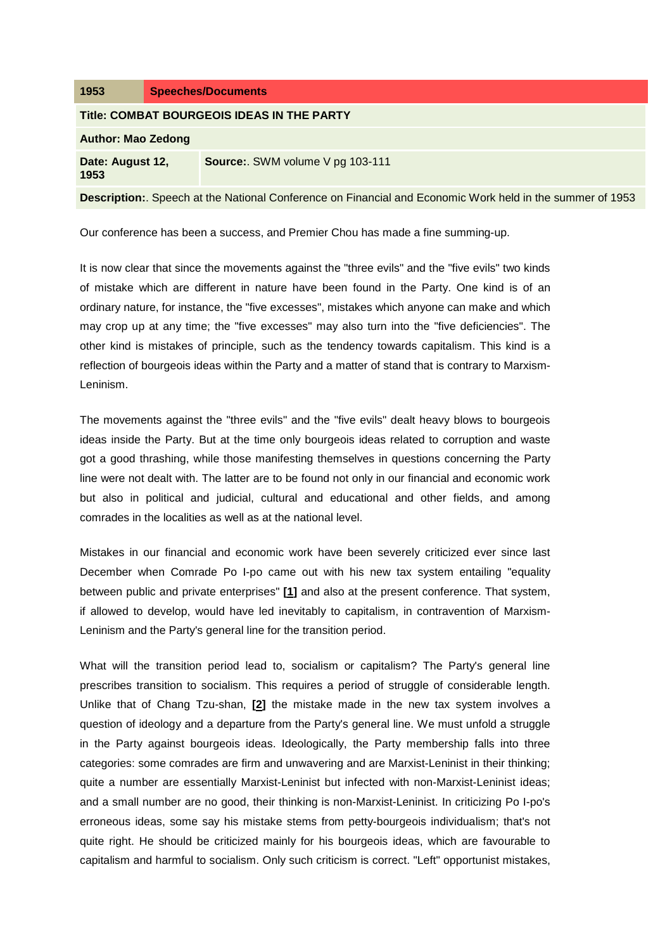| 1953                                                                                                     | <b>Speeches/Documents</b>               |
|----------------------------------------------------------------------------------------------------------|-----------------------------------------|
| Title: COMBAT BOURGEOIS IDEAS IN THE PARTY                                                               |                                         |
| <b>Author: Mao Zedong</b>                                                                                |                                         |
| Date: August 12,<br>1953                                                                                 | <b>Source:.</b> SWM volume V pg 103-111 |
| Description: Speech at the National Conference on Financial and Economic Work held in the summer of 1953 |                                         |

Our conference has been a success, and Premier Chou has made a fine summing-up.

It is now clear that since the movements against the "three evils" and the "five evils" two kinds of mistake which are different in nature have been found in the Party. One kind is of an ordinary nature, for instance, the "five excesses", mistakes which anyone can make and which may crop up at any time; the "five excesses" may also turn into the "five deficiencies". The other kind is mistakes of principle, such as the tendency towards capitalism. This kind is a reflection of bourgeois ideas within the Party and a matter of stand that is contrary to Marxism-Leninism.

The movements against the "three evils" and the "five evils" dealt heavy blows to bourgeois ideas inside the Party. But at the time only bourgeois ideas related to corruption and waste got a good thrashing, while those manifesting themselves in questions concerning the Party line were not dealt with. The latter are to be found not only in our financial and economic work but also in political and judicial, cultural and educational and other fields, and among comrades in the localities as well as at the national level.

Mistakes in our financial and economic work have been severely criticized ever since last December when Comrade Po I-po came out with his new tax system entailing "equality between public and private enterprises" **[\[1\]](http://www.marxists.org/reference/archive/mao/selected-works/volume-5/mswv5_32.htm#bm1#bm1)** and also at the present conference. That system, if allowed to develop, would have led inevitably to capitalism, in contravention of Marxism-Leninism and the Party's general line for the transition period.

What will the transition period lead to, socialism or capitalism? The Party's general line prescribes transition to socialism. This requires a period of struggle of considerable length. Unlike that of Chang Tzu-shan, **[\[2\]](http://www.marxists.org/reference/archive/mao/selected-works/volume-5/mswv5_32.htm#bm2#bm2)** the mistake made in the new tax system involves a question of ideology and a departure from the Party's general line. We must unfold a struggle in the Party against bourgeois ideas. Ideologically, the Party membership falls into three categories: some comrades are firm and unwavering and are Marxist-Leninist in their thinking; quite a number are essentially Marxist-Leninist but infected with non-Marxist-Leninist ideas; and a small number are no good, their thinking is non-Marxist-Leninist. In criticizing Po I-po's erroneous ideas, some say his mistake stems from petty-bourgeois individualism; that's not quite right. He should be criticized mainly for his bourgeois ideas, which are favourable to capitalism and harmful to socialism. Only such criticism is correct. "Left" opportunist mistakes,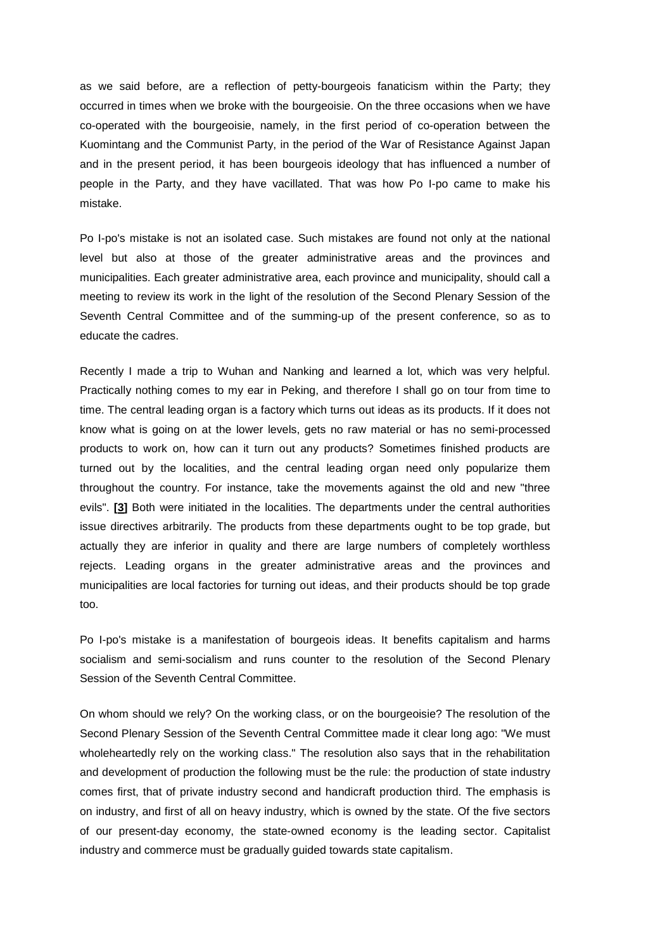as we said before, are a reflection of petty-bourgeois fanaticism within the Party; they occurred in times when we broke with the bourgeoisie. On the three occasions when we have co-operated with the bourgeoisie, namely, in the first period of co-operation between the Kuomintang and the Communist Party, in the period of the War of Resistance Against Japan and in the present period, it has been bourgeois ideology that has influenced a number of people in the Party, and they have vacillated. That was how Po I-po came to make his mistake.

Po I-po's mistake is not an isolated case. Such mistakes are found not only at the national level but also at those of the greater administrative areas and the provinces and municipalities. Each greater administrative area, each province and municipality, should call a meeting to review its work in the light of the resolution of the Second Plenary Session of the Seventh Central Committee and of the summing-up of the present conference, so as to educate the cadres.

Recently I made a trip to Wuhan and Nanking and learned a lot, which was very helpful. Practically nothing comes to my ear in Peking, and therefore I shall go on tour from time to time. The central leading organ is a factory which turns out ideas as its products. If it does not know what is going on at the lower levels, gets no raw material or has no semi-processed products to work on, how can it turn out any products? Sometimes finished products are turned out by the localities, and the central leading organ need only popularize them throughout the country. For instance, take the movements against the old and new "three evils". **[\[3\]](http://www.marxists.org/reference/archive/mao/selected-works/volume-5/mswv5_32.htm#bm3#bm3)** Both were initiated in the localities. The departments under the central authorities issue directives arbitrarily. The products from these departments ought to be top grade, but actually they are inferior in quality and there are large numbers of completely worthless rejects. Leading organs in the greater administrative areas and the provinces and municipalities are local factories for turning out ideas, and their products should be top grade too.

Po I-po's mistake is a manifestation of bourgeois ideas. It benefits capitalism and harms socialism and semi-socialism and runs counter to the resolution of the Second Plenary Session of the Seventh Central Committee.

On whom should we rely? On the working class, or on the bourgeoisie? The resolution of the Second Plenary Session of the Seventh Central Committee made it clear long ago: "We must wholeheartedly rely on the working class." The resolution also says that in the rehabilitation and development of production the following must be the rule: the production of state industry comes first, that of private industry second and handicraft production third. The emphasis is on industry, and first of all on heavy industry, which is owned by the state. Of the five sectors of our present-day economy, the state-owned economy is the leading sector. Capitalist industry and commerce must be gradually guided towards state capitalism.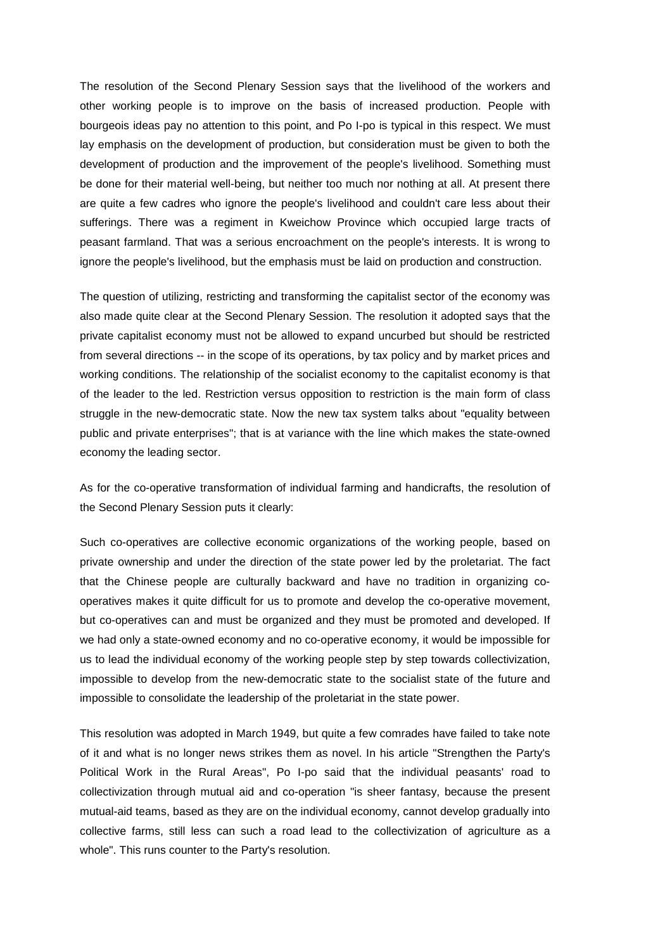The resolution of the Second Plenary Session says that the livelihood of the workers and other working people is to improve on the basis of increased production. People with bourgeois ideas pay no attention to this point, and Po I-po is typical in this respect. We must lay emphasis on the development of production, but consideration must be given to both the development of production and the improvement of the people's livelihood. Something must be done for their material well-being, but neither too much nor nothing at all. At present there are quite a few cadres who ignore the people's livelihood and couldn't care less about their sufferings. There was a regiment in Kweichow Province which occupied large tracts of peasant farmland. That was a serious encroachment on the people's interests. It is wrong to ignore the people's livelihood, but the emphasis must be laid on production and construction.

The question of utilizing, restricting and transforming the capitalist sector of the economy was also made quite clear at the Second Plenary Session. The resolution it adopted says that the private capitalist economy must not be allowed to expand uncurbed but should be restricted from several directions -- in the scope of its operations, by tax policy and by market prices and working conditions. The relationship of the socialist economy to the capitalist economy is that of the leader to the led. Restriction versus opposition to restriction is the main form of class struggle in the new-democratic state. Now the new tax system talks about "equality between public and private enterprises"; that is at variance with the line which makes the state-owned economy the leading sector.

As for the co-operative transformation of individual farming and handicrafts, the resolution of the Second Plenary Session puts it clearly:

Such co-operatives are collective economic organizations of the working people, based on private ownership and under the direction of the state power led by the proletariat. The fact that the Chinese people are culturally backward and have no tradition in organizing cooperatives makes it quite difficult for us to promote and develop the co-operative movement, but co-operatives can and must be organized and they must be promoted and developed. If we had only a state-owned economy and no co-operative economy, it would be impossible for us to lead the individual economy of the working people step by step towards collectivization, impossible to develop from the new-democratic state to the socialist state of the future and impossible to consolidate the leadership of the proletariat in the state power.

This resolution was adopted in March 1949, but quite a few comrades have failed to take note of it and what is no longer news strikes them as novel. In his article "Strengthen the Party's Political Work in the Rural Areas", Po I-po said that the individual peasants' road to collectivization through mutual aid and co-operation "is sheer fantasy, because the present mutual-aid teams, based as they are on the individual economy, cannot develop gradually into collective farms, still less can such a road lead to the collectivization of agriculture as a whole". This runs counter to the Party's resolution.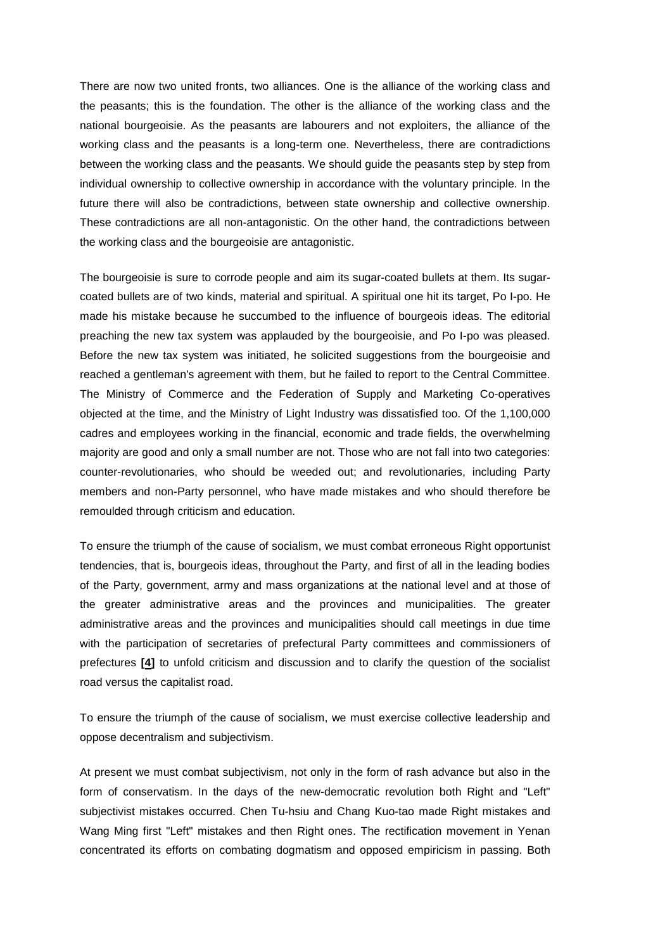There are now two united fronts, two alliances. One is the alliance of the working class and the peasants; this is the foundation. The other is the alliance of the working class and the national bourgeoisie. As the peasants are labourers and not exploiters, the alliance of the working class and the peasants is a long-term one. Nevertheless, there are contradictions between the working class and the peasants. We should guide the peasants step by step from individual ownership to collective ownership in accordance with the voluntary principle. In the future there will also be contradictions, between state ownership and collective ownership. These contradictions are all non-antagonistic. On the other hand, the contradictions between the working class and the bourgeoisie are antagonistic.

The bourgeoisie is sure to corrode people and aim its sugar-coated bullets at them. Its sugarcoated bullets are of two kinds, material and spiritual. A spiritual one hit its target, Po I-po. He made his mistake because he succumbed to the influence of bourgeois ideas. The editorial preaching the new tax system was applauded by the bourgeoisie, and Po I-po was pleased. Before the new tax system was initiated, he solicited suggestions from the bourgeoisie and reached a gentleman's agreement with them, but he failed to report to the Central Committee. The Ministry of Commerce and the Federation of Supply and Marketing Co-operatives objected at the time, and the Ministry of Light Industry was dissatisfied too. Of the 1,100,000 cadres and employees working in the financial, economic and trade fields, the overwhelming majority are good and only a small number are not. Those who are not fall into two categories: counter-revolutionaries, who should be weeded out; and revolutionaries, including Party members and non-Party personnel, who have made mistakes and who should therefore be remoulded through criticism and education.

To ensure the triumph of the cause of socialism, we must combat erroneous Right opportunist tendencies, that is, bourgeois ideas, throughout the Party, and first of all in the leading bodies of the Party, government, army and mass organizations at the national level and at those of the greater administrative areas and the provinces and municipalities. The greater administrative areas and the provinces and municipalities should call meetings in due time with the participation of secretaries of prefectural Party committees and commissioners of prefectures **[\[4\]](http://www.marxists.org/reference/archive/mao/selected-works/volume-5/mswv5_32.htm#bm4#bm4)** to unfold criticism and discussion and to clarify the question of the socialist road versus the capitalist road.

To ensure the triumph of the cause of socialism, we must exercise collective leadership and oppose decentralism and subjectivism.

At present we must combat subjectivism, not only in the form of rash advance but also in the form of conservatism. In the days of the new-democratic revolution both Right and "Left" subjectivist mistakes occurred. Chen Tu-hsiu and Chang Kuo-tao made Right mistakes and Wang Ming first "Left" mistakes and then Right ones. The rectification movement in Yenan concentrated its efforts on combating dogmatism and opposed empiricism in passing. Both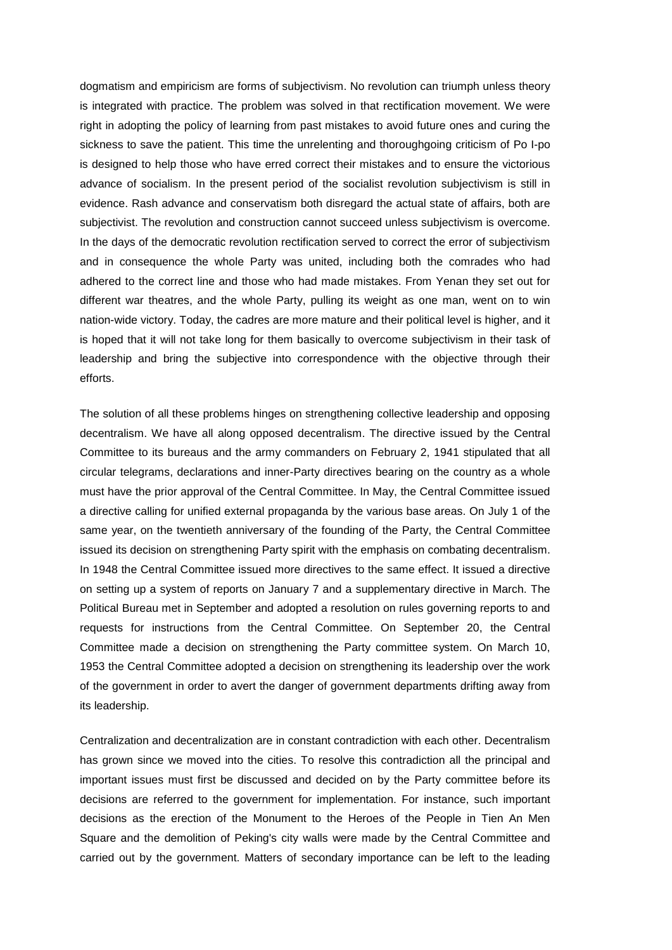dogmatism and empiricism are forms of subjectivism. No revolution can triumph unless theory is integrated with practice. The problem was solved in that rectification movement. We were right in adopting the policy of learning from past mistakes to avoid future ones and curing the sickness to save the patient. This time the unrelenting and thoroughgoing criticism of Po I-po is designed to help those who have erred correct their mistakes and to ensure the victorious advance of socialism. In the present period of the socialist revolution subjectivism is still in evidence. Rash advance and conservatism both disregard the actual state of affairs, both are subjectivist. The revolution and construction cannot succeed unless subjectivism is overcome. In the days of the democratic revolution rectification served to correct the error of subjectivism and in consequence the whole Party was united, including both the comrades who had adhered to the correct line and those who had made mistakes. From Yenan they set out for different war theatres, and the whole Party, pulling its weight as one man, went on to win nation-wide victory. Today, the cadres are more mature and their political level is higher, and it is hoped that it will not take long for them basically to overcome subjectivism in their task of leadership and bring the subjective into correspondence with the objective through their efforts.

The solution of all these problems hinges on strengthening collective leadership and opposing decentralism. We have all along opposed decentralism. The directive issued by the Central Committee to its bureaus and the army commanders on February 2, 1941 stipulated that all circular telegrams, declarations and inner-Party directives bearing on the country as a whole must have the prior approval of the Central Committee. In May, the Central Committee issued a directive calling for unified external propaganda by the various base areas. On July 1 of the same year, on the twentieth anniversary of the founding of the Party, the Central Committee issued its decision on strengthening Party spirit with the emphasis on combating decentralism. In 1948 the Central Committee issued more directives to the same effect. It issued a directive on setting up a system of reports on January 7 and a supplementary directive in March. The Political Bureau met in September and adopted a resolution on rules governing reports to and requests for instructions from the Central Committee. On September 20, the Central Committee made a decision on strengthening the Party committee system. On March 10, 1953 the Central Committee adopted a decision on strengthening its leadership over the work of the government in order to avert the danger of government departments drifting away from its leadership.

Centralization and decentralization are in constant contradiction with each other. Decentralism has grown since we moved into the cities. To resolve this contradiction all the principal and important issues must first be discussed and decided on by the Party committee before its decisions are referred to the government for implementation. For instance, such important decisions as the erection of the Monument to the Heroes of the People in Tien An Men Square and the demolition of Peking's city walls were made by the Central Committee and carried out by the government. Matters of secondary importance can be left to the leading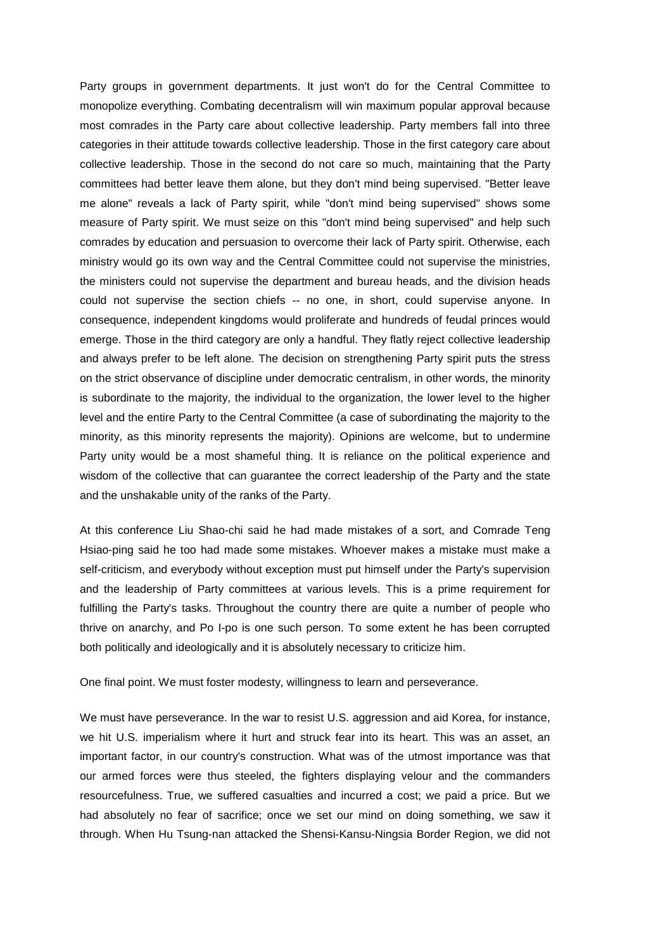Party groups in government departments. It just won't do for the Central Committee to monopolize everything. Combating decentralism will win maximum popular approval because most comrades in the Party care about collective leadership. Party members fall into three categories in their attitude towards collective leadership. Those in the first category care about collective leadership. Those in the second do not care so much, maintaining that the Party committees had better leave them alone, but they don't mind being supervised. "Better leave me alone" reveals a lack of Party spirit, while "don't mind being supervised" shows some measure of Party spirit. We must seize on this "don't mind being supervised" and help such comrades by education and persuasion to overcome their lack of Party spirit. Otherwise, each ministry would go its own way and the Central Committee could not supervise the ministries, the ministers could not supervise the department and bureau heads, and the division heads could not supervise the section chiefs -- no one, in short, could supervise anyone. In consequence, independent kingdoms would proliferate and hundreds of feudal princes would emerge. Those in the third category are only a handful. They flatly reject collective leadership and always prefer to be left alone. The decision on strengthening Party spirit puts the stress on the strict observance of discipline under democratic centralism, in other words, the minority is subordinate to the majority, the individual to the organization, the lower level to the higher level and the entire Party to the Central Committee (a case of subordinating the majority to the minority, as this minority represents the majority). Opinions are welcome, but to undermine Party unity would be a most shameful thing. It is reliance on the political experience and wisdom of the collective that can guarantee the correct leadership of the Party and the state and the unshakable unity of the ranks of the Party.

At this conference Liu Shao-chi said he had made mistakes of a sort, and Comrade Teng Hsiao-ping said he too had made some mistakes. Whoever makes a mistake must make a self-criticism, and everybody without exception must put himself under the Party's supervision and the leadership of Party committees at various levels. This is a prime requirement for fulfilling the Party's tasks. Throughout the country there are quite a number of people who thrive on anarchy, and Po I-po is one such person. To some extent he has been corrupted both politically and ideologically and it is absolutely necessary to criticize him.

One final point. We must foster modesty, willingness to learn and perseverance.

We must have perseverance. In the war to resist U.S. aggression and aid Korea, for instance, we hit U.S. imperialism where it hurt and struck fear into its heart. This was an asset, an important factor, in our country's construction. What was of the utmost importance was that our armed forces were thus steeled, the fighters displaying velour and the commanders resourcefulness. True, we suffered casualties and incurred a cost; we paid a price. But we had absolutely no fear of sacrifice; once we set our mind on doing something, we saw it through. When Hu Tsung-nan attacked the Shensi-Kansu-Ningsia Border Region, we did not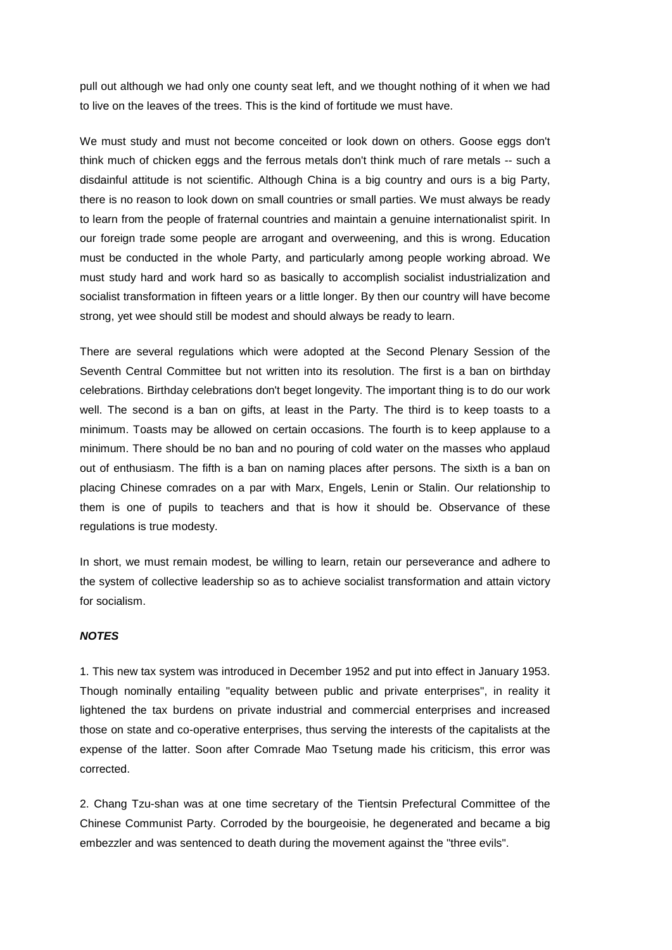pull out although we had only one county seat left, and we thought nothing of it when we had to live on the leaves of the trees. This is the kind of fortitude we must have.

We must study and must not become conceited or look down on others. Goose eggs don't think much of chicken eggs and the ferrous metals don't think much of rare metals -- such a disdainful attitude is not scientific. Although China is a big country and ours is a big Party, there is no reason to look down on small countries or small parties. We must always be ready to learn from the people of fraternal countries and maintain a genuine internationalist spirit. In our foreign trade some people are arrogant and overweening, and this is wrong. Education must be conducted in the whole Party, and particularly among people working abroad. We must study hard and work hard so as basically to accomplish socialist industrialization and socialist transformation in fifteen years or a little longer. By then our country will have become strong, yet wee should still be modest and should always be ready to learn.

There are several regulations which were adopted at the Second Plenary Session of the Seventh Central Committee but not written into its resolution. The first is a ban on birthday celebrations. Birthday celebrations don't beget longevity. The important thing is to do our work well. The second is a ban on gifts, at least in the Party. The third is to keep toasts to a minimum. Toasts may be allowed on certain occasions. The fourth is to keep applause to a minimum. There should be no ban and no pouring of cold water on the masses who applaud out of enthusiasm. The fifth is a ban on naming places after persons. The sixth is a ban on placing Chinese comrades on a par with Marx, Engels, Lenin or Stalin. Our relationship to them is one of pupils to teachers and that is how it should be. Observance of these regulations is true modesty.

In short, we must remain modest, be willing to learn, retain our perseverance and adhere to the system of collective leadership so as to achieve socialist transformation and attain victory for socialism.

## *NOTES*

1. This new tax system was introduced in December 1952 and put into effect in January 1953. Though nominally entailing "equality between public and private enterprises", in reality it lightened the tax burdens on private industrial and commercial enterprises and increased those on state and co-operative enterprises, thus serving the interests of the capitalists at the expense of the latter. Soon after Comrade Mao Tsetung made his criticism, this error was corrected.

2. Chang Tzu-shan was at one time secretary of the Tientsin Prefectural Committee of the Chinese Communist Party. Corroded by the bourgeoisie, he degenerated and became a big embezzler and was sentenced to death during the movement against the "three evils".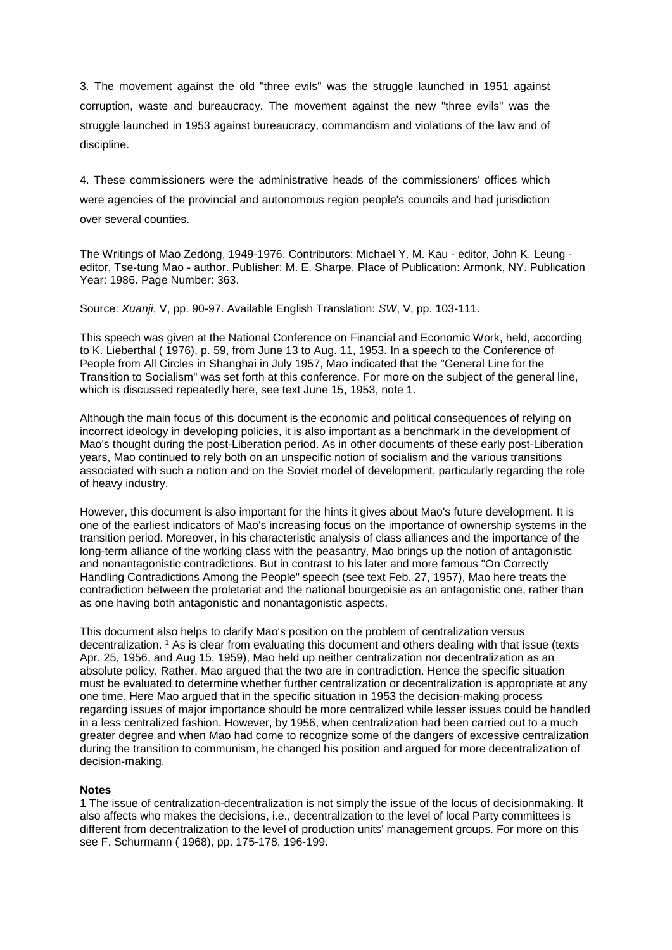3. The movement against the old "three evils" was the struggle launched in 1951 against corruption, waste and bureaucracy. The movement against the new "three evils" was the struggle launched in 1953 against bureaucracy, commandism and violations of the law and of discipline.

4. These commissioners were the administrative heads of the commissioners' offices which were agencies of the provincial and autonomous region people's councils and had jurisdiction over several counties.

The Writings of Mao Zedong, 1949-1976. Contributors: Michael Y. M. Kau - editor, John K. Leung editor, Tse-tung Mao - author. Publisher: M. E. Sharpe. Place of Publication: Armonk, NY. Publication Year: 1986. Page Number: 363.

Source: *Xuanji*, V, pp. 90-97. Available English Translation: *SW*, V, pp. 103-111.

This speech was given at the National Conference on Financial and Economic Work, held, according to K. Lieberthal ( 1976), p. 59, from June 13 to Aug. 11, 1953. In a speech to the Conference of People from All Circles in Shanghai in July 1957, Mao indicated that the "General Line for the Transition to Socialism" was set forth at this conference. For more on the subject of the general line, which is discussed repeatedly here, see text June 15, 1953, note 1.

Although the main focus of this document is the economic and political consequences of relying on incorrect ideology in developing policies, it is also important as a benchmark in the development of Mao's thought during the post-Liberation period. As in other documents of these early post-Liberation years, Mao continued to rely both on an unspecific notion of socialism and the various transitions associated with such a notion and on the Soviet model of development, particularly regarding the role of heavy industry.

However, this document is also important for the hints it gives about Mao's future development. It is one of the earliest indicators of Mao's increasing focus on the importance of ownership systems in the transition period. Moreover, in his characteristic analysis of class alliances and the importance of the long-term alliance of the working class with the peasantry, Mao brings up the notion of antagonistic and nonantagonistic contradictions. But in contrast to his later and more famous "On Correctly Handling Contradictions Among the People" speech (see text Feb. 27, 1957), Mao here treats the contradiction between the proletariat and the national bourgeoisie as an antagonistic one, rather than as one having both antagonistic and nonantagonistic aspects.

This document also helps to clarify Mao's position on the problem of centralization versus decentralization. [1](http://www.questia.com/PM.qst?a=o&d=99262066) As is clear from evaluating this document and others dealing with that issue (texts Apr. 25, 1956, and Aug 15, 1959), Mao held up neither centralization nor decentralization as an absolute policy. Rather, Mao argued that the two are in contradiction. Hence the specific situation must be evaluated to determine whether further centralization or decentralization is appropriate at any one time. Here Mao argued that in the specific situation in 1953 the decision-making process regarding issues of major importance should be more centralized while lesser issues could be handled in a less centralized fashion. However, by 1956, when centralization had been carried out to a much greater degree and when Mao had come to recognize some of the dangers of excessive centralization during the transition to communism, he changed his position and argued for more decentralization of decision-making.

## **Notes**

1 The issue of centralization-decentralization is not simply the issue of the locus of decisionmaking. It also affects who makes the decisions, i.e., decentralization to the level of local Party committees is different from decentralization to the level of production units' management groups. For more on this see F. Schurmann ( 1968), pp. 175-178, 196-199.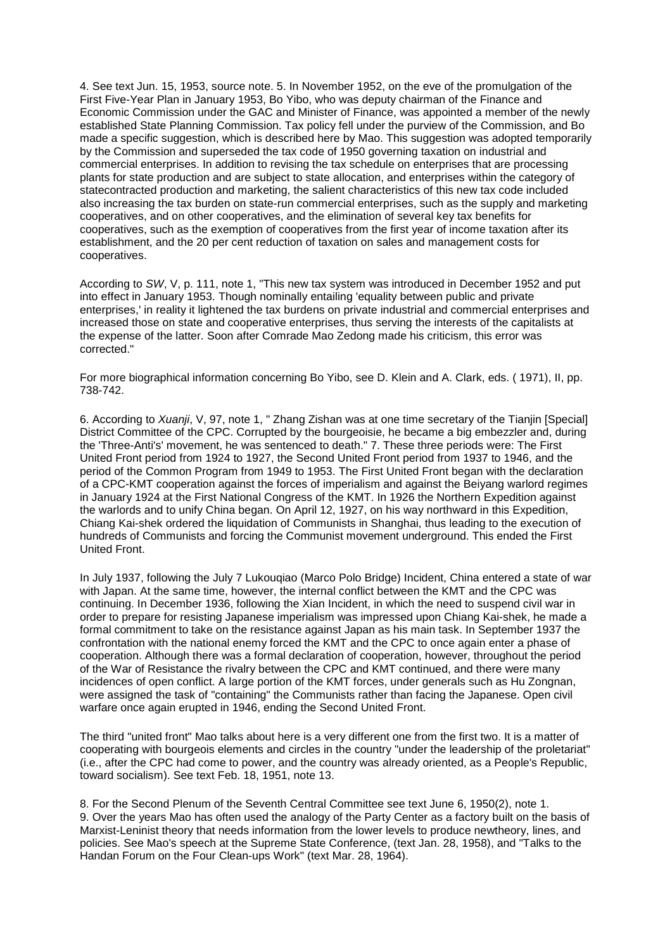4. See text Jun. 15, 1953, source note. 5. In November 1952, on the eve of the promulgation of the First Five-Year Plan in January 1953, Bo Yibo, who was deputy chairman of the Finance and Economic Commission under the GAC and Minister of Finance, was appointed a member of the newly established State Planning Commission. Tax policy fell under the purview of the Commission, and Bo made a specific suggestion, which is described here by Mao. This suggestion was adopted temporarily by the Commission and superseded the tax code of 1950 governing taxation on industrial and commercial enterprises. In addition to revising the tax schedule on enterprises that are processing plants for state production and are subject to state allocation, and enterprises within the category of statecontracted production and marketing, the salient characteristics of this new tax code included also increasing the tax burden on state-run commercial enterprises, such as the supply and marketing cooperatives, and on other cooperatives, and the elimination of several key tax benefits for cooperatives, such as the exemption of cooperatives from the first year of income taxation after its establishment, and the 20 per cent reduction of taxation on sales and management costs for cooperatives.

According to *SW*, V, p. 111, note 1, "This new tax system was introduced in December 1952 and put into effect in January 1953. Though nominally entailing 'equality between public and private enterprises,' in reality it lightened the tax burdens on private industrial and commercial enterprises and increased those on state and cooperative enterprises, thus serving the interests of the capitalists at the expense of the latter. Soon after Comrade Mao Zedong made his criticism, this error was corrected."

For more biographical information concerning Bo Yibo, see D. Klein and A. Clark, eds. ( 1971), II, pp. 738-742.

6. According to *Xuanji*, V, 97, note 1, " Zhang Zishan was at one time secretary of the Tianjin [Special] District Committee of the CPC. Corrupted by the bourgeoisie, he became a big embezzler and, during the 'Three-Anti's' movement, he was sentenced to death." 7. These three periods were: The First United Front period from 1924 to 1927, the Second United Front period from 1937 to 1946, and the period of the Common Program from 1949 to 1953. The First United Front began with the declaration of a CPC-KMT cooperation against the forces of imperialism and against the Beiyang warlord regimes in January 1924 at the First National Congress of the KMT. In 1926 the Northern Expedition against the warlords and to unify China began. On April 12, 1927, on his way northward in this Expedition, Chiang Kai-shek ordered the liquidation of Communists in Shanghai, thus leading to the execution of hundreds of Communists and forcing the Communist movement underground. This ended the First United Front.

In July 1937, following the July 7 Lukouqiao (Marco Polo Bridge) Incident, China entered a state of war with Japan. At the same time, however, the internal conflict between the KMT and the CPC was continuing. In December 1936, following the Xian Incident, in which the need to suspend civil war in order to prepare for resisting Japanese imperialism was impressed upon Chiang Kai-shek, he made a formal commitment to take on the resistance against Japan as his main task. In September 1937 the confrontation with the national enemy forced the KMT and the CPC to once again enter a phase of cooperation. Although there was a formal declaration of cooperation, however, throughout the period of the War of Resistance the rivalry between the CPC and KMT continued, and there were many incidences of open conflict. A large portion of the KMT forces, under generals such as Hu Zongnan, were assigned the task of "containing" the Communists rather than facing the Japanese. Open civil warfare once again erupted in 1946, ending the Second United Front.

The third "united front" Mao talks about here is a very different one from the first two. It is a matter of cooperating with bourgeois elements and circles in the country "under the leadership of the proletariat" (i.e., after the CPC had come to power, and the country was already oriented, as a People's Republic, toward socialism). See text Feb. 18, 1951, note 13.

8. For the Second Plenum of the Seventh Central Committee see text June 6, 1950(2), note 1. 9. Over the years Mao has often used the analogy of the Party Center as a factory built on the basis of Marxist-Leninist theory that needs information from the lower levels to produce newtheory, lines, and policies. See Mao's speech at the Supreme State Conference, (text Jan. 28, 1958), and "Talks to the Handan Forum on the Four Clean-ups Work" (text Mar. 28, 1964).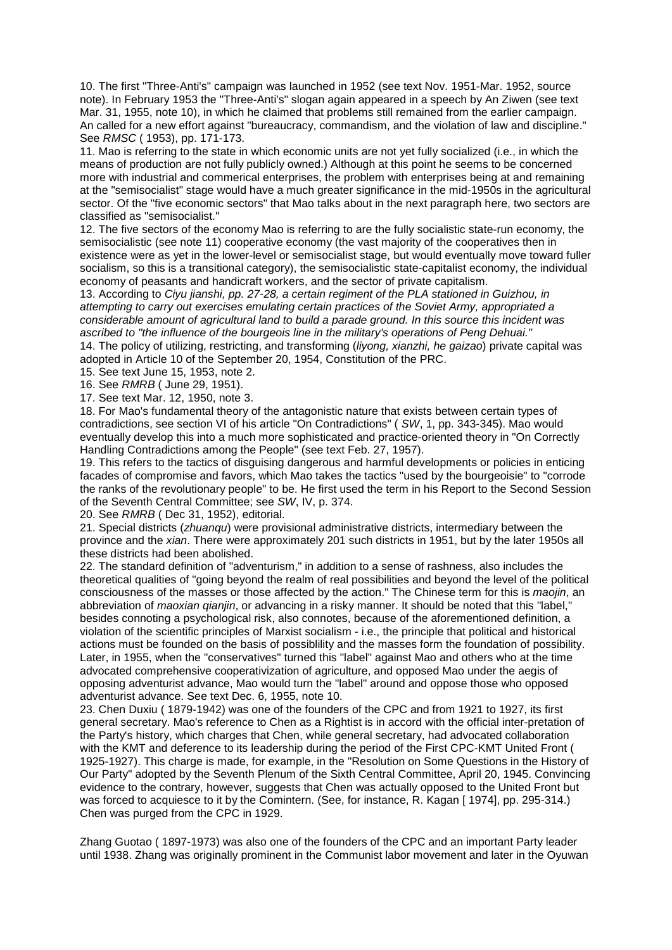10. The first "Three-Anti's" campaign was launched in 1952 (see text Nov. 1951-Mar. 1952, source note). In February 1953 the "Three-Anti's" slogan again appeared in a speech by An Ziwen (see text Mar. 31, 1955, note 10), in which he claimed that problems still remained from the earlier campaign. An called for a new effort against "bureaucracy, commandism, and the violation of law and discipline." See *RMSC* ( 1953), pp. 171-173.

11. Mao is referring to the state in which economic units are not yet fully socialized (i.e., in which the means of production are not fully publicly owned.) Although at this point he seems to be concerned more with industrial and commerical enterprises, the problem with enterprises being at and remaining at the "semisocialist" stage would have a much greater significance in the mid-1950s in the agricultural sector. Of the "five economic sectors" that Mao talks about in the next paragraph here, two sectors are classified as "semisocialist."

12. The five sectors of the economy Mao is referring to are the fully socialistic state-run economy, the semisocialistic (see note 11) cooperative economy (the vast majority of the cooperatives then in existence were as yet in the lower-level or semisocialist stage, but would eventually move toward fuller socialism, so this is a transitional category), the semisocialistic state-capitalist economy, the individual economy of peasants and handicraft workers, and the sector of private capitalism.

13. According to *Ciyu jianshi, pp. 27-28, a certain regiment of the PLA stationed in Guizhou, in attempting to carry out exercises emulating certain practices of the Soviet Army, appropriated a considerable amount of agricultural land to build a parade ground. In this source this incident was ascribed to "the influence of the bourgeois line in the military's operations of Peng Dehuai."* 

14. The policy of utilizing, restricting, and transforming (*liyong, xianzhi, he gaizao*) private capital was adopted in Article 10 of the September 20, 1954, Constitution of the PRC.

15. See text June 15, 1953, note 2.

16. See *RMRB* ( June 29, 1951).

17. See text Mar. 12, 1950, note 3.

18. For Mao's fundamental theory of the antagonistic nature that exists between certain types of contradictions, see section VI of his article "On Contradictions" ( *SW*, 1, pp. 343-345). Mao would eventually develop this into a much more sophisticated and practice-oriented theory in "On Correctly Handling Contradictions among the People" (see text Feb. 27, 1957).

19. This refers to the tactics of disguising dangerous and harmful developments or policies in enticing facades of compromise and favors, which Mao takes the tactics "used by the bourgeoisie" to "corrode the ranks of the revolutionary people" to be. He first used the term in his Report to the Second Session of the Seventh Central Committee; see *SW*, IV, p. 374.

20. See *RMRB* ( Dec 31, 1952), editorial.

21. Special districts (*zhuanqu*) were provisional administrative districts, intermediary between the province and the *xian*. There were approximately 201 such districts in 1951, but by the later 1950s all these districts had been abolished.

22. The standard definition of "adventurism," in addition to a sense of rashness, also includes the theoretical qualities of "going beyond the realm of real possibilities and beyond the level of the political consciousness of the masses or those affected by the action." The Chinese term for this is *maojin*, an abbreviation of *maoxian qianjin*, or advancing in a risky manner. It should be noted that this "label," besides connoting a psychological risk, also connotes, because of the aforementioned definition, a violation of the scientific principles of Marxist socialism - i.e., the principle that political and historical actions must be founded on the basis of possiblility and the masses form the foundation of possibility. Later, in 1955, when the "conservatives" turned this "label" against Mao and others who at the time advocated comprehensive cooperativization of agriculture, and opposed Mao under the aegis of opposing adventurist advance, Mao would turn the "label" around and oppose those who opposed adventurist advance. See text Dec. 6, 1955, note 10.

23. Chen Duxiu ( 1879-1942) was one of the founders of the CPC and from 1921 to 1927, its first general secretary. Mao's reference to Chen as a Rightist is in accord with the official inter-pretation of the Party's history, which charges that Chen, while general secretary, had advocated collaboration with the KMT and deference to its leadership during the period of the First CPC-KMT United Front ( 1925-1927). This charge is made, for example, in the "Resolution on Some Questions in the History of Our Party" adopted by the Seventh Plenum of the Sixth Central Committee, April 20, 1945. Convincing evidence to the contrary, however, suggests that Chen was actually opposed to the United Front but was forced to acquiesce to it by the Comintern. (See, for instance, R. Kagan [ 1974], pp. 295-314.) Chen was purged from the CPC in 1929.

Zhang Guotao ( 1897-1973) was also one of the founders of the CPC and an important Party leader until 1938. Zhang was originally prominent in the Communist labor movement and later in the Oyuwan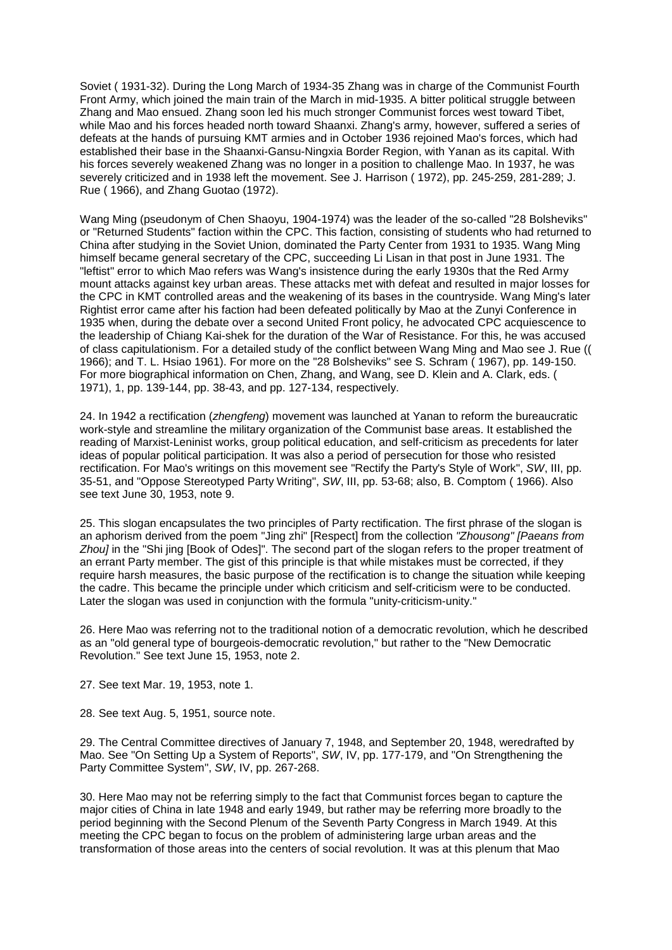Soviet ( 1931-32). During the Long March of 1934-35 Zhang was in charge of the Communist Fourth Front Army, which joined the main train of the March in mid-1935. A bitter political struggle between Zhang and Mao ensued. Zhang soon led his much stronger Communist forces west toward Tibet, while Mao and his forces headed north toward Shaanxi. Zhang's army, however, suffered a series of defeats at the hands of pursuing KMT armies and in October 1936 rejoined Mao's forces, which had established their base in the Shaanxi-Gansu-Ningxia Border Region, with Yanan as its capital. With his forces severely weakened Zhang was no longer in a position to challenge Mao. In 1937, he was severely criticized and in 1938 left the movement. See J. Harrison ( 1972), pp. 245-259, 281-289; J. Rue ( 1966), and Zhang Guotao (1972).

Wang Ming (pseudonym of Chen Shaoyu, 1904-1974) was the leader of the so-called "28 Bolsheviks" or "Returned Students" faction within the CPC. This faction, consisting of students who had returned to China after studying in the Soviet Union, dominated the Party Center from 1931 to 1935. Wang Ming himself became general secretary of the CPC, succeeding Li Lisan in that post in June 1931. The "leftist" error to which Mao refers was Wang's insistence during the early 1930s that the Red Army mount attacks against key urban areas. These attacks met with defeat and resulted in major losses for the CPC in KMT controlled areas and the weakening of its bases in the countryside. Wang Ming's later Rightist error came after his faction had been defeated politically by Mao at the Zunyi Conference in 1935 when, during the debate over a second United Front policy, he advocated CPC acquiescence to the leadership of Chiang Kai-shek for the duration of the War of Resistance. For this, he was accused of class capitulationism. For a detailed study of the conflict between Wang Ming and Mao see J. Rue (( 1966); and T. L. Hsiao 1961). For more on the "28 Bolsheviks" see S. Schram ( 1967), pp. 149-150. For more biographical information on Chen, Zhang, and Wang, see D. Klein and A. Clark, eds. ( 1971), 1, pp. 139-144, pp. 38-43, and pp. 127-134, respectively.

24. In 1942 a rectification (*zhengfeng*) movement was launched at Yanan to reform the bureaucratic work-style and streamline the military organization of the Communist base areas. It established the reading of Marxist-Leninist works, group political education, and self-criticism as precedents for later ideas of popular political participation. It was also a period of persecution for those who resisted rectification. For Mao's writings on this movement see "Rectify the Party's Style of Work", *SW*, III, pp. 35-51, and "Oppose Stereotyped Party Writing", *SW*, III, pp. 53-68; also, B. Comptom ( 1966). Also see text June 30, 1953, note 9.

25. This slogan encapsulates the two principles of Party rectification. The first phrase of the slogan is an aphorism derived from the poem "Jing zhi" [Respect] from the collection *"Zhousong" [Paeans from Zhou]* in the "Shi jing [Book of Odes]". The second part of the slogan refers to the proper treatment of an errant Party member. The gist of this principle is that while mistakes must be corrected, if they require harsh measures, the basic purpose of the rectification is to change the situation while keeping the cadre. This became the principle under which criticism and self-criticism were to be conducted. Later the slogan was used in conjunction with the formula "unity-criticism-unity."

26. Here Mao was referring not to the traditional notion of a democratic revolution, which he described as an "old general type of bourgeois-democratic revolution," but rather to the "New Democratic Revolution." See text June 15, 1953, note 2.

27. See text Mar. 19, 1953, note 1.

28. See text Aug. 5, 1951, source note.

29. The Central Committee directives of January 7, 1948, and September 20, 1948, weredrafted by Mao. See "On Setting Up a System of Reports", *SW*, IV, pp. 177-179, and "On Strengthening the Party Committee System", *SW*, IV, pp. 267-268.

30. Here Mao may not be referring simply to the fact that Communist forces began to capture the major cities of China in late 1948 and early 1949, but rather may be referring more broadly to the period beginning with the Second Plenum of the Seventh Party Congress in March 1949. At this meeting the CPC began to focus on the problem of administering large urban areas and the transformation of those areas into the centers of social revolution. It was at this plenum that Mao